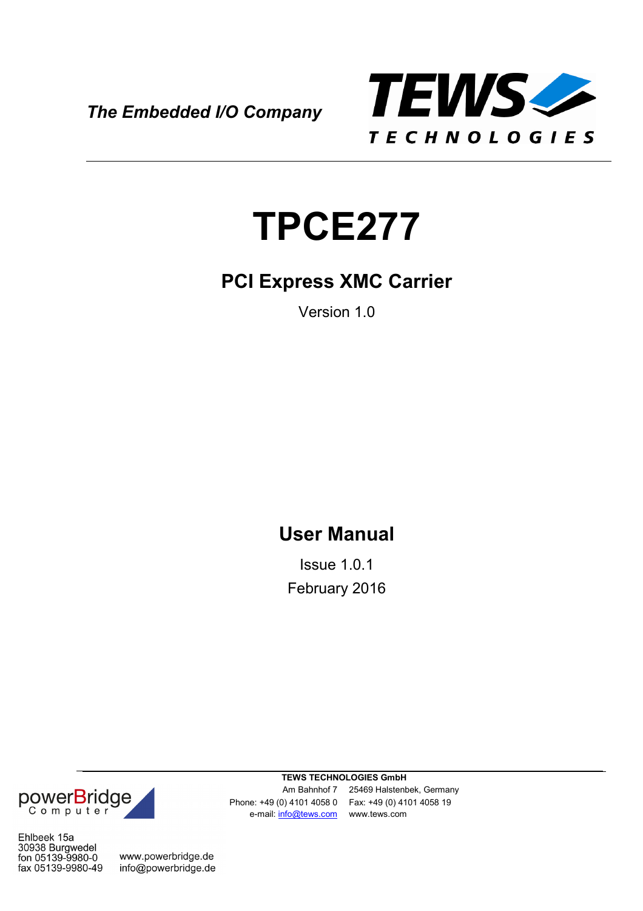*The Embedded I/O Company*



# **TPCE277**

### **PCI Express XMC Carrier**

Version 1.0

### **User Manual**

Issue 1.0.1 February 2016

powerBridge

Ehlbeek 15a 30938 Burgwedel<br>fon 05139-9980-0 fax 05139-9980-49

www.powerbridge.de info@powerbridge.de

**TEWS TECHNOLOGIES GmbH** e-mail: info@tews.com www.tews.com

Am Bahnhof 7 25469 Halstenbek, Germany Phone: +49 (0) 4101 4058 0 Fax: +49 (0) 4101 4058 19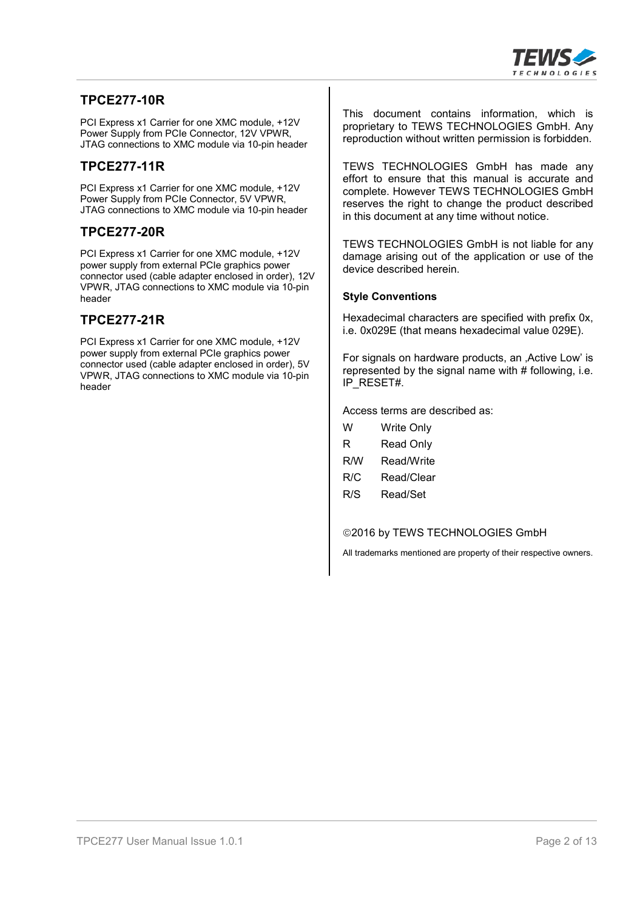

#### **TPCE277-10R**

PCI Express x1 Carrier for one XMC module, +12V Power Supply from PCIe Connector, 12V VPWR, JTAG connections to XMC module via 10-pin header

#### **TPCE277-11R**

PCI Express x1 Carrier for one XMC module, +12V Power Supply from PCIe Connector, 5V VPWR, JTAG connections to XMC module via 10-pin header

#### **TPCE277-20R**

PCI Express x1 Carrier for one XMC module, +12V power supply from external PCIe graphics power connector used (cable adapter enclosed in order), 12V VPWR, JTAG connections to XMC module via 10-pin header

#### **TPCE277-21R**

PCI Express x1 Carrier for one XMC module, +12V power supply from external PCIe graphics power connector used (cable adapter enclosed in order), 5V VPWR, JTAG connections to XMC module via 10-pin header

This document contains information, which is proprietary to TEWS TECHNOLOGIES GmbH. Any reproduction without written permission is forbidden.

TEWS TECHNOLOGIES GmbH has made any effort to ensure that this manual is accurate and complete. However TEWS TECHNOLOGIES GmbH reserves the right to change the product described in this document at any time without notice.

TEWS TECHNOLOGIES GmbH is not liable for any damage arising out of the application or use of the device described herein.

#### **Style Conventions**

Hexadecimal characters are specified with prefix 0x, i.e. 0x029E (that means hexadecimal value 029E).

For signals on hardware products, an Active Low' is represented by the signal name with # following, i.e. IP\_RESET#.

Access terms are described as:

| w   | Write Only       |
|-----|------------------|
| R   | <b>Read Only</b> |
| R/W | Read/Write       |
| R/C | Read/Clear       |
| R/S | Read/Set         |
|     |                  |

©2016 by TEWS TECHNOLOGIES GmbH

All trademarks mentioned are property of their respective owners.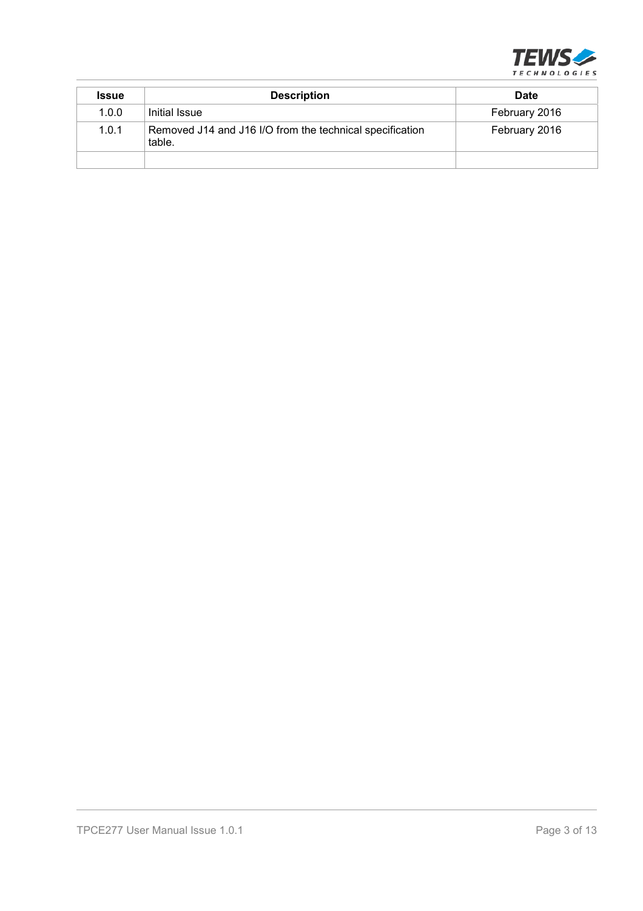

| <b>Issue</b> | <b>Description</b>                                                 | <b>Date</b>   |
|--------------|--------------------------------------------------------------------|---------------|
| 1.0.0        | Initial Issue                                                      | February 2016 |
| 1.0.1        | Removed J14 and J16 I/O from the technical specification<br>table. | February 2016 |
|              |                                                                    |               |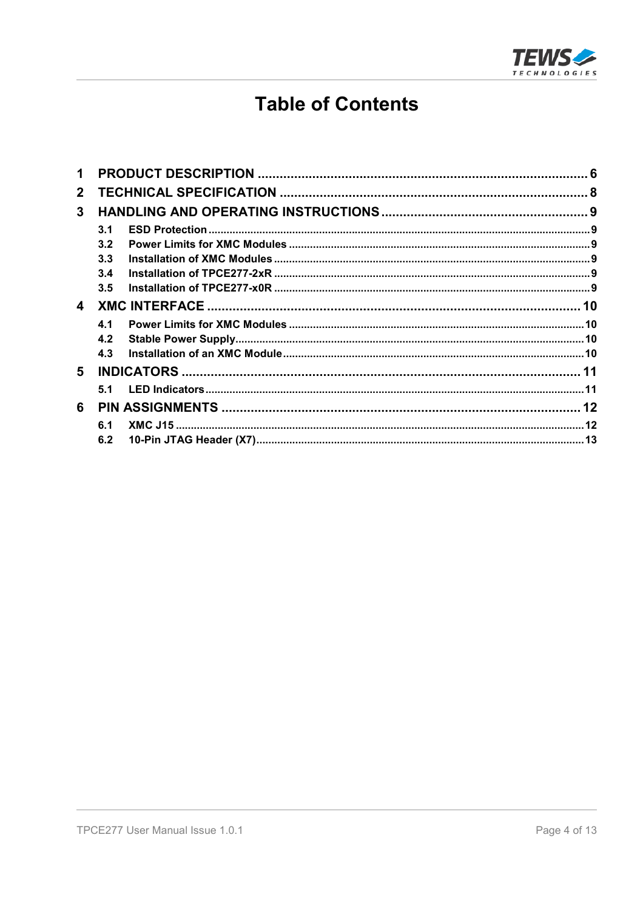

#### **Table of Contents**

| $\mathbf{2}$ |     |  |  |
|--------------|-----|--|--|
| $\mathbf{3}$ |     |  |  |
|              | 3.1 |  |  |
|              | 3.2 |  |  |
|              | 3.3 |  |  |
|              | 3.4 |  |  |
|              | 3.5 |  |  |
| 4            |     |  |  |
|              | 4.1 |  |  |
|              | 4.2 |  |  |
|              | 4.3 |  |  |
| 5            |     |  |  |
|              |     |  |  |
| 6            |     |  |  |
|              | 6.1 |  |  |
|              | 6.2 |  |  |
|              |     |  |  |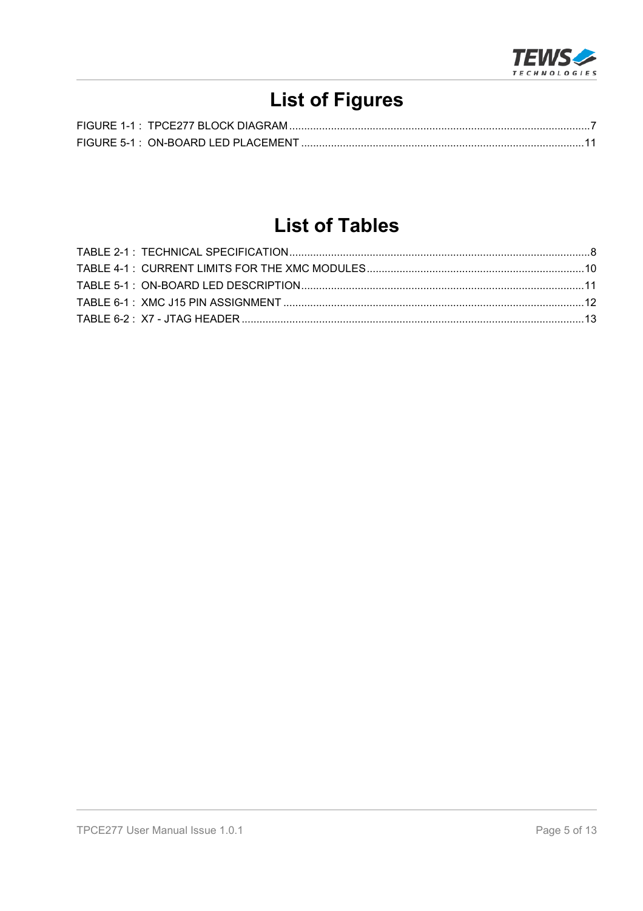

# **List of Figures**

### **List of Tables**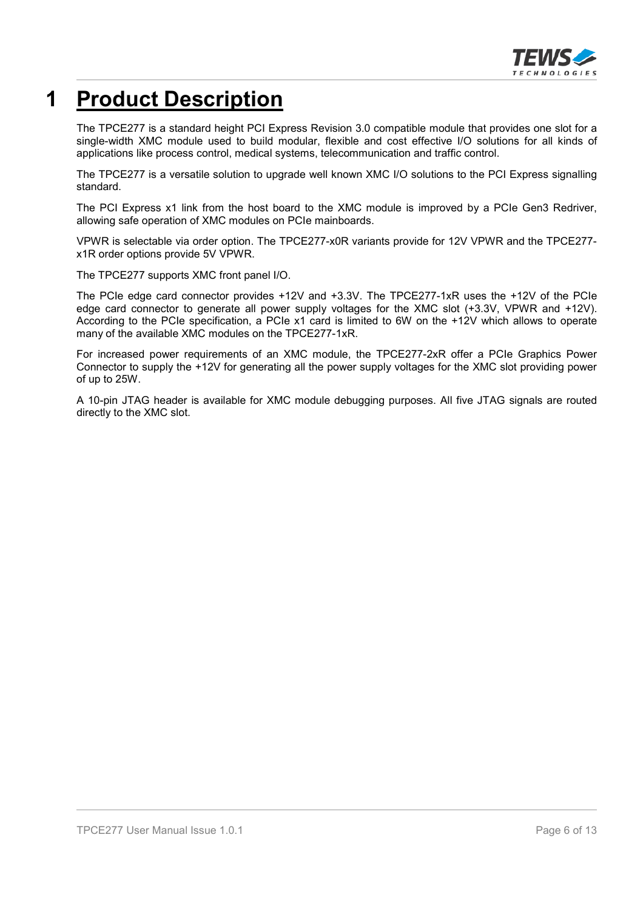

# **1 Product Description**

The TPCE277 is a standard height PCI Express Revision 3.0 compatible module that provides one slot for a single-width XMC module used to build modular, flexible and cost effective I/O solutions for all kinds of applications like process control, medical systems, telecommunication and traffic control.

The TPCE277 is a versatile solution to upgrade well known XMC I/O solutions to the PCI Express signalling standard.

The PCI Express x1 link from the host board to the XMC module is improved by a PCIe Gen3 Redriver, allowing safe operation of XMC modules on PCIe mainboards.

VPWR is selectable via order option. The TPCE277-x0R variants provide for 12V VPWR and the TPCE277 x1R order options provide 5V VPWR.

The TPCE277 supports XMC front panel I/O.

The PCIe edge card connector provides +12V and +3.3V. The TPCE277-1xR uses the +12V of the PCIe edge card connector to generate all power supply voltages for the XMC slot (+3.3V, VPWR and +12V). According to the PCIe specification, a PCIe x1 card is limited to 6W on the +12V which allows to operate many of the available XMC modules on the TPCE277-1xR.

For increased power requirements of an XMC module, the TPCE277-2xR offer a PCIe Graphics Power Connector to supply the +12V for generating all the power supply voltages for the XMC slot providing power of up to 25W.

A 10-pin JTAG header is available for XMC module debugging purposes. All five JTAG signals are routed directly to the XMC slot.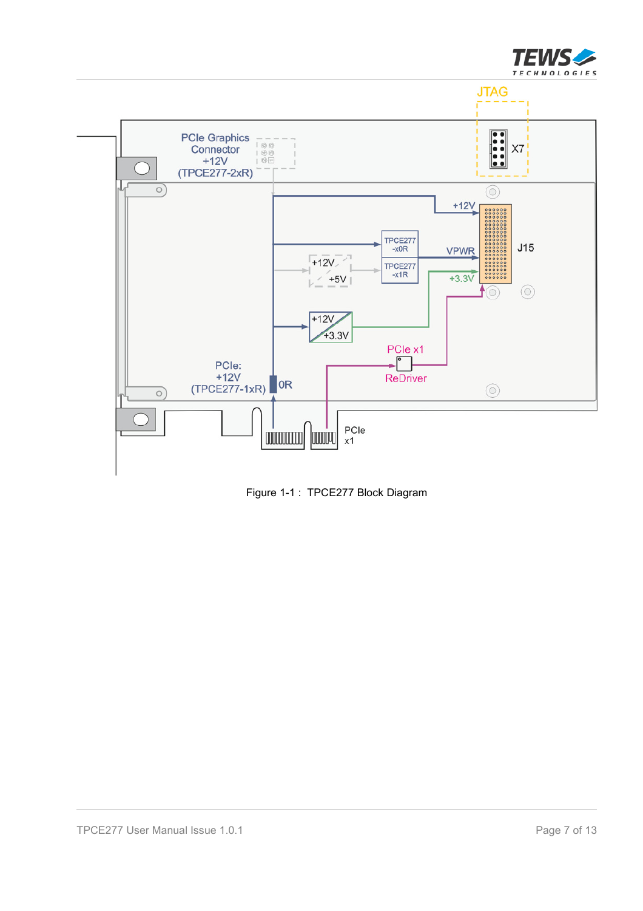



Figure 1-1 : TPCE277 Block Diagram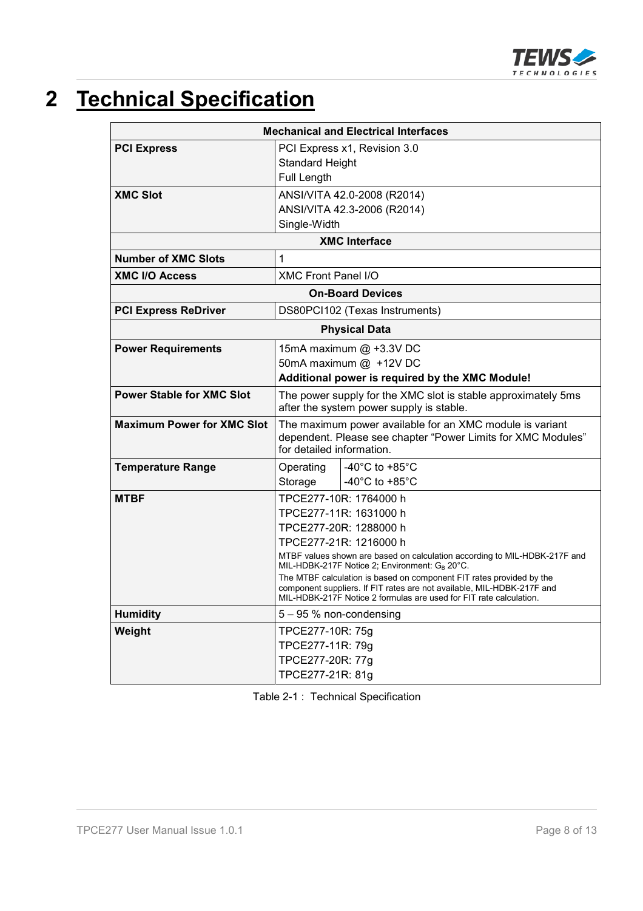

# **2 Technical Specification**

| <b>Mechanical and Electrical Interfaces</b> |                                                                                                                                                       |  |  |  |
|---------------------------------------------|-------------------------------------------------------------------------------------------------------------------------------------------------------|--|--|--|
| <b>PCI Express</b>                          | PCI Express x1, Revision 3.0                                                                                                                          |  |  |  |
|                                             | <b>Standard Height</b>                                                                                                                                |  |  |  |
|                                             | Full Length                                                                                                                                           |  |  |  |
| <b>XMC Slot</b>                             | ANSI/VITA 42.0-2008 (R2014)                                                                                                                           |  |  |  |
|                                             | ANSI/VITA 42.3-2006 (R2014)                                                                                                                           |  |  |  |
|                                             | Single-Width                                                                                                                                          |  |  |  |
|                                             | <b>XMC Interface</b>                                                                                                                                  |  |  |  |
| <b>Number of XMC Slots</b>                  | 1                                                                                                                                                     |  |  |  |
| <b>XMC I/O Access</b>                       | <b>XMC Front Panel I/O</b>                                                                                                                            |  |  |  |
|                                             | <b>On-Board Devices</b>                                                                                                                               |  |  |  |
| <b>PCI Express ReDriver</b>                 | DS80PCI102 (Texas Instruments)                                                                                                                        |  |  |  |
|                                             | <b>Physical Data</b>                                                                                                                                  |  |  |  |
| <b>Power Requirements</b>                   | 15mA maximum @ +3.3V DC                                                                                                                               |  |  |  |
|                                             | 50mA maximum @ +12V DC                                                                                                                                |  |  |  |
|                                             | Additional power is required by the XMC Module!                                                                                                       |  |  |  |
| <b>Power Stable for XMC Slot</b>            | The power supply for the XMC slot is stable approximately 5ms<br>after the system power supply is stable.                                             |  |  |  |
| <b>Maximum Power for XMC Slot</b>           | The maximum power available for an XMC module is variant<br>dependent. Please see chapter "Power Limits for XMC Modules"<br>for detailed information. |  |  |  |
| <b>Temperature Range</b>                    | -40 $^{\circ}$ C to +85 $^{\circ}$ C<br>Operating                                                                                                     |  |  |  |
|                                             | -40 $^{\circ}$ C to +85 $^{\circ}$ C<br>Storage                                                                                                       |  |  |  |
| <b>MTBF</b>                                 | TPCE277-10R: 1764000 h                                                                                                                                |  |  |  |
|                                             | TPCE277-11R: 1631000 h                                                                                                                                |  |  |  |
|                                             | TPCE277-20R: 1288000 h                                                                                                                                |  |  |  |
|                                             | TPCE277-21R: 1216000 h                                                                                                                                |  |  |  |
|                                             | MTBF values shown are based on calculation according to MIL-HDBK-217F and<br>MIL-HDBK-217F Notice 2; Environment: GB 20°C.                            |  |  |  |
|                                             | The MTBF calculation is based on component FIT rates provided by the                                                                                  |  |  |  |
|                                             | component suppliers. If FIT rates are not available, MIL-HDBK-217F and<br>MIL-HDBK-217F Notice 2 formulas are used for FIT rate calculation.          |  |  |  |
| <b>Humidity</b>                             | 5 - 95 % non-condensing                                                                                                                               |  |  |  |
| Weight                                      | TPCE277-10R: 75g                                                                                                                                      |  |  |  |
|                                             | TPCE277-11R: 79g                                                                                                                                      |  |  |  |
|                                             | TPCE277-20R: 77g                                                                                                                                      |  |  |  |
|                                             | TPCE277-21R: 81g                                                                                                                                      |  |  |  |

Table 2-1 : Technical Specification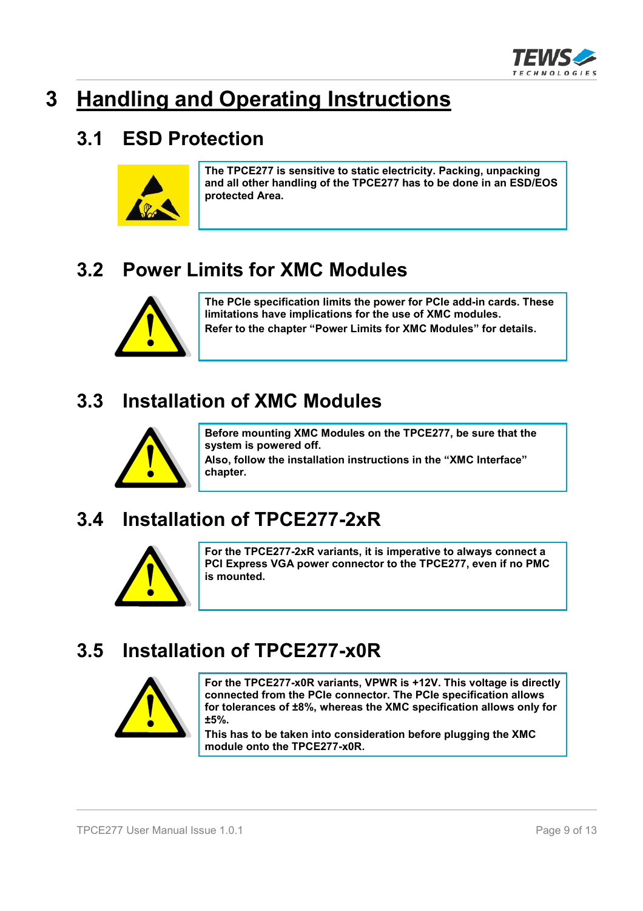

# **3 Handling and Operating Instructions**

#### **3.1 ESD Protection**



**The TPCE277 is sensitive to static electricity. Packing, unpacking and all other handling of the TPCE277 has to be done in an ESD/EOS protected Area.**

### **3.2 Power Limits for XMC Modules**



**The PCIe specification limits the power for PCIe add-in cards. These limitations have implications for the use of XMC modules. Refer to the chapter "Power Limits for XMC Modules" for details.**

### **3.3 Installation of XMC Modules**



**Before mounting XMC Modules on the TPCE277, be sure that the system is powered off.** 

**Also, follow the installation instructions in the "XMC Interface" chapter.**

### **3.4 Installation of TPCE277-2xR**



**For the TPCE277-2xR variants, it is imperative to always connect a PCI Express VGA power connector to the TPCE277, even if no PMC is mounted.**

### **3.5 Installation of TPCE277-x0R**



**For the TPCE277-x0R variants, VPWR is +12V. This voltage is directly connected from the PCIe connector. The PCIe specification allows for tolerances of ±8%, whereas the XMC specification allows only for ±5%.**

**This has to be taken into consideration before plugging the XMC module onto the TPCE277-x0R.**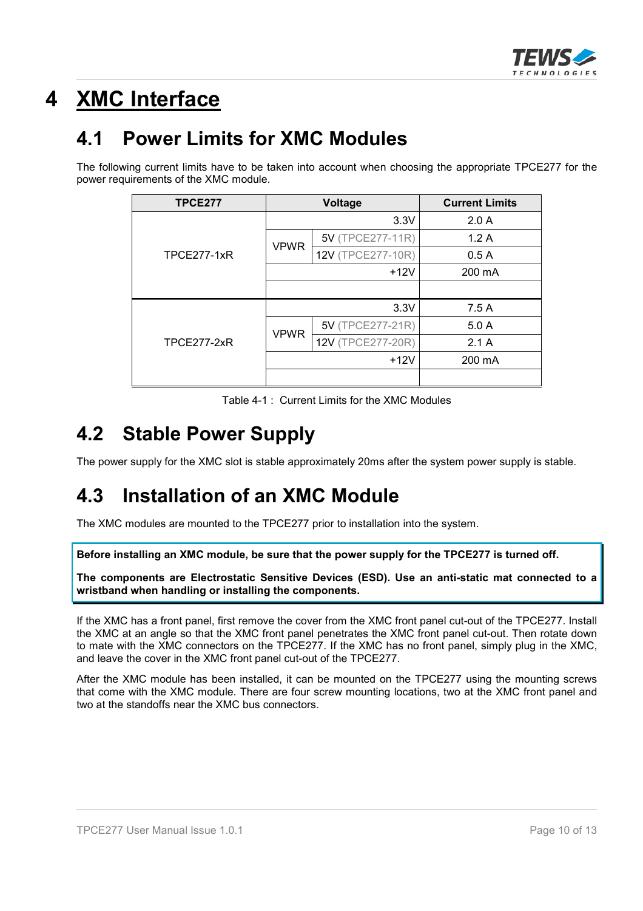

# **4 XMC Interface**

#### **4.1 Power Limits for XMC Modules**

The following current limits have to be taken into account when choosing the appropriate TPCE277 for the power requirements of the XMC module.

| <b>TPCE277</b>     |             | Voltage           | <b>Current Limits</b> |
|--------------------|-------------|-------------------|-----------------------|
|                    |             | 3.3V              | 2.0A                  |
|                    | <b>VPWR</b> | 5V (TPCE277-11R)  | 1.2A                  |
| <b>TPCE277-1xR</b> |             | 12V (TPCE277-10R) | 0.5A                  |
|                    |             | $+12V$            | 200 mA                |
|                    |             |                   |                       |
|                    |             | 3.3V              | 7.5 A                 |
|                    | <b>VPWR</b> | 5V (TPCE277-21R)  | 5.0A                  |
| <b>TPCE277-2xR</b> |             | 12V (TPCE277-20R) | 2.1A                  |
|                    |             | $+12V$            | 200 mA                |
|                    |             |                   |                       |

Table 4-1 : Current Limits for the XMC Modules

#### **4.2 Stable Power Supply**

The power supply for the XMC slot is stable approximately 20ms after the system power supply is stable.

#### **4.3 Installation of an XMC Module**

The XMC modules are mounted to the TPCE277 prior to installation into the system.

**Before installing an XMC module, be sure that the power supply for the TPCE277 is turned off.**

**The components are Electrostatic Sensitive Devices (ESD). Use an anti-static mat connected to a wristband when handling or installing the components.**

If the XMC has a front panel, first remove the cover from the XMC front panel cut-out of the TPCE277. Install the XMC at an angle so that the XMC front panel penetrates the XMC front panel cut-out. Then rotate down to mate with the XMC connectors on the TPCE277. If the XMC has no front panel, simply plug in the XMC, and leave the cover in the XMC front panel cut-out of the TPCE277.

After the XMC module has been installed, it can be mounted on the TPCE277 using the mounting screws that come with the XMC module. There are four screw mounting locations, two at the XMC front panel and two at the standoffs near the XMC bus connectors.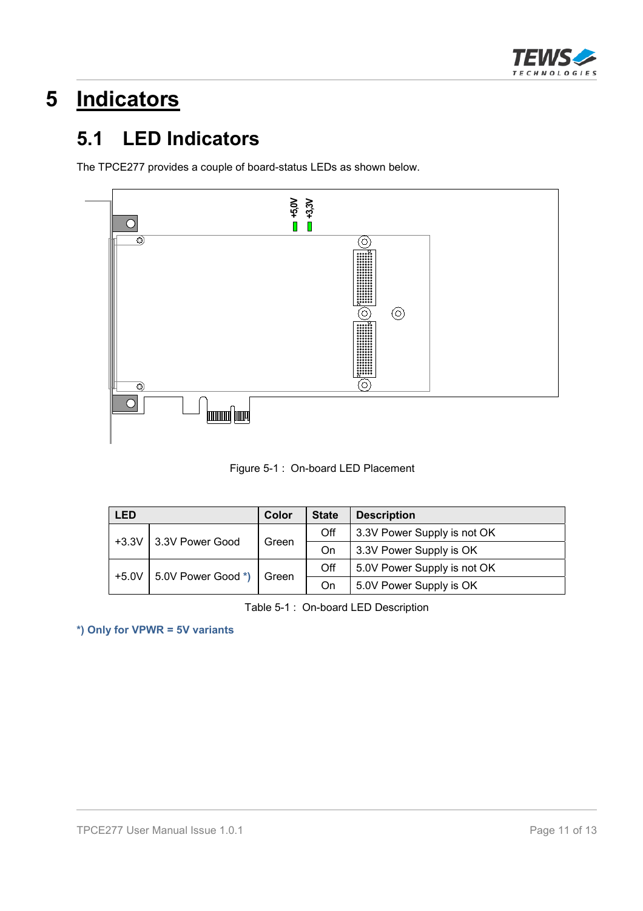

# **5 Indicators**

### **5.1 LED Indicators**

The TPCE277 provides a couple of board-status LEDs as shown below.





| <b>LED</b> |                    | Color | <b>State</b> | <b>Description</b>          |  |
|------------|--------------------|-------|--------------|-----------------------------|--|
| $+3.3V$    | 3.3V Power Good    | Green | Off          | 3.3V Power Supply is not OK |  |
|            |                    |       | On           | 3.3V Power Supply is OK     |  |
| $+5.0V$    | 5.0V Power Good *) | Green | Off          | 5.0V Power Supply is not OK |  |
|            |                    |       | On           | 5.0V Power Supply is OK     |  |

Table 5-1 : On-board LED Description

**\*) Only for VPWR = 5V variants**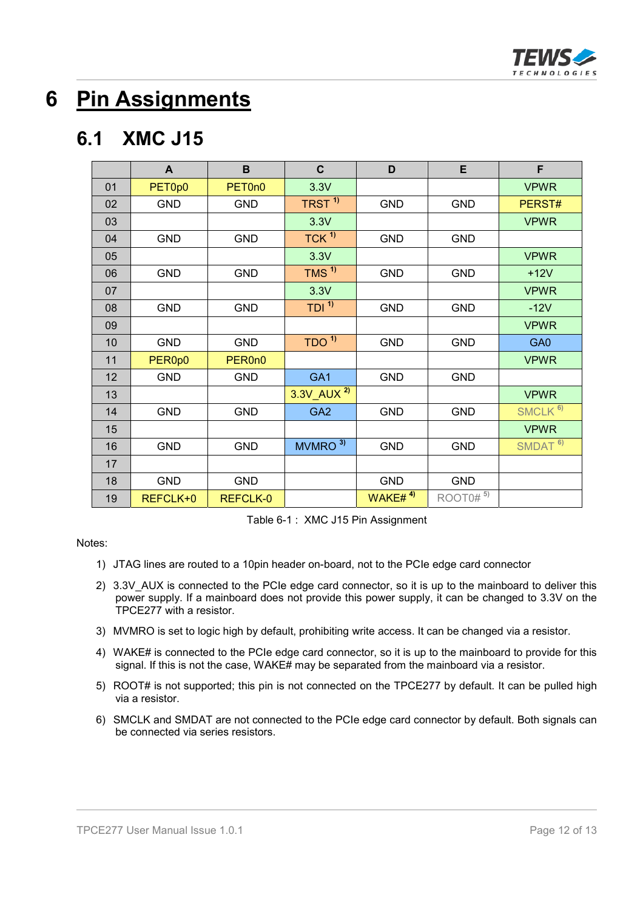

## **6 Pin Assignments**

#### **6.1 XMC J15**

|    | A          | B                   | $\mathbf C$            | D                       | E                      | F                   |
|----|------------|---------------------|------------------------|-------------------------|------------------------|---------------------|
| 01 | PET0p0     | PET <sub>0n0</sub>  | 3.3V                   |                         |                        | <b>VPWR</b>         |
| 02 | <b>GND</b> | <b>GND</b>          | TRST <sup>1)</sup>     | <b>GND</b>              | <b>GND</b>             | PERST#              |
| 03 |            |                     | 3.3V                   |                         |                        | <b>VPWR</b>         |
| 04 | <b>GND</b> | <b>GND</b>          | TCK <sup>1</sup>       | <b>GND</b>              | <b>GND</b>             |                     |
| 05 |            |                     | 3.3V                   |                         |                        | <b>VPWR</b>         |
| 06 | <b>GND</b> | <b>GND</b>          | $TMS$ <sup>1)</sup>    | <b>GND</b>              | <b>GND</b>             | $+12V$              |
| 07 |            |                     | 3.3V                   |                         |                        | <b>VPWR</b>         |
| 08 | <b>GND</b> | <b>GND</b>          | TDI <sup>1</sup>       | <b>GND</b>              | <b>GND</b>             | $-12V$              |
| 09 |            |                     |                        |                         |                        | <b>VPWR</b>         |
| 10 | <b>GND</b> | <b>GND</b>          | TDO <sup>1</sup>       | <b>GND</b>              | <b>GND</b>             | GA0                 |
| 11 | PER0p0     | PER <sub>0n</sub> 0 |                        |                         |                        | <b>VPWR</b>         |
| 12 | <b>GND</b> | <b>GND</b>          | GA <sub>1</sub>        | <b>GND</b>              | <b>GND</b>             |                     |
| 13 |            |                     | 3.3V AUX <sup>2)</sup> |                         |                        | <b>VPWR</b>         |
| 14 | <b>GND</b> | <b>GND</b>          | GA <sub>2</sub>        | <b>GND</b>              | <b>GND</b>             | SMCLK <sup>6)</sup> |
| 15 |            |                     |                        |                         |                        | <b>VPWR</b>         |
| 16 | <b>GND</b> | <b>GND</b>          | 3)<br><b>MVMRO</b>     | <b>GND</b>              | <b>GND</b>             | SMDAT <sup>6)</sup> |
| 17 |            |                     |                        |                         |                        |                     |
| 18 | <b>GND</b> | <b>GND</b>          |                        | <b>GND</b>              | <b>GND</b>             |                     |
| 19 | REFCLK+0   | REFCLK-0            |                        | WAKE# $4$ <sup>4)</sup> | $ROOT0#$ <sup>5)</sup> |                     |

Table 6-1 : XMC J15 Pin Assignment

Notes:

- 1) JTAG lines are routed to a 10pin header on-board, not to the PCIe edge card connector
- 2) 3.3V AUX is connected to the PCIe edge card connector, so it is up to the mainboard to deliver this power supply. If a mainboard does not provide this power supply, it can be changed to 3.3V on the TPCE277 with a resistor.
- 3) MVMRO is set to logic high by default, prohibiting write access. It can be changed via a resistor.
- 4) WAKE# is connected to the PCIe edge card connector, so it is up to the mainboard to provide for this signal. If this is not the case, WAKE# may be separated from the mainboard via a resistor.
- 5) ROOT# is not supported; this pin is not connected on the TPCE277 by default. It can be pulled high via a resistor.
- 6) SMCLK and SMDAT are not connected to the PCIe edge card connector by default. Both signals can be connected via series resistors.